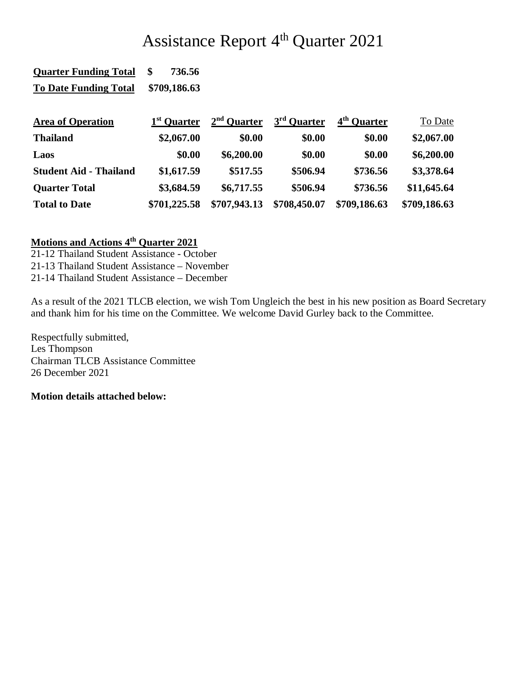## Assistance Report 4<sup>th</sup> Quarter 2021

| <b>Quarter Funding Total</b>  | 736.56<br>\$            |               |                         |                         |              |
|-------------------------------|-------------------------|---------------|-------------------------|-------------------------|--------------|
| <b>To Date Funding Total</b>  | \$709,186.63            |               |                         |                         |              |
| <b>Area of Operation</b>      | 1 <sup>st</sup> Quarter | $2nd$ Quarter | 3 <sup>rd</sup> Quarter | 4 <sup>th</sup> Ouarter | To Date      |
| <b>Thailand</b>               | \$2,067.00              | \$0.00        | \$0.00                  | \$0.00                  | \$2,067.00   |
| Laos                          | \$0.00                  | \$6,200.00    | \$0.00                  | \$0.00                  | \$6,200.00   |
| <b>Student Aid - Thailand</b> | \$1,617.59              | \$517.55      | \$506.94                | \$736.56                | \$3,378.64   |
| <b>Quarter Total</b>          | \$3,684.59              | \$6,717.55    | \$506.94                | \$736.56                | \$11,645.64  |
| <b>Total to Date</b>          | \$701,225.58            | \$707,943.13  | \$708,450.07            | \$709,186.63            | \$709,186.63 |

## **Motions and Actions 4th Quarter 2021**

21-12 Thailand Student Assistance - October

21-13 Thailand Student Assistance – November

21-14 Thailand Student Assistance – December

As a result of the 2021 TLCB election, we wish Tom Ungleich the best in his new position as Board Secretary and thank him for his time on the Committee. We welcome David Gurley back to the Committee.

Respectfully submitted, Les Thompson Chairman TLCB Assistance Committee 26 December 2021

## **Motion details attached below:**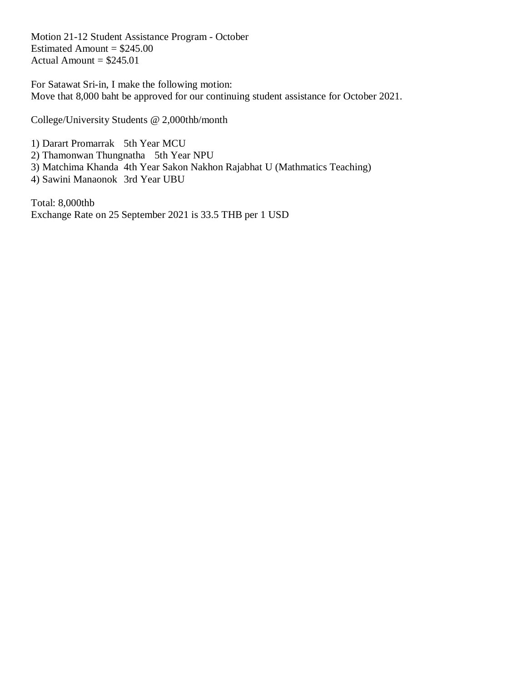Motion 21-12 Student Assistance Program - October Estimated Amount =  $$245.00$ Actual Amount  $= $245.01$ 

For Satawat Sri-in, I make the following motion: Move that 8,000 baht be approved for our continuing student assistance for October 2021.

College/University Students @ 2,000thb/month

1) Darart Promarrak 5th Year MCU

2) Thamonwan Thungnatha 5th Year NPU

3) Matchima Khanda 4th Year Sakon Nakhon Rajabhat U (Mathmatics Teaching)

4) Sawini Manaonok 3rd Year UBU

Total: 8,000thb Exchange Rate on 25 September 2021 is 33.5 THB per 1 USD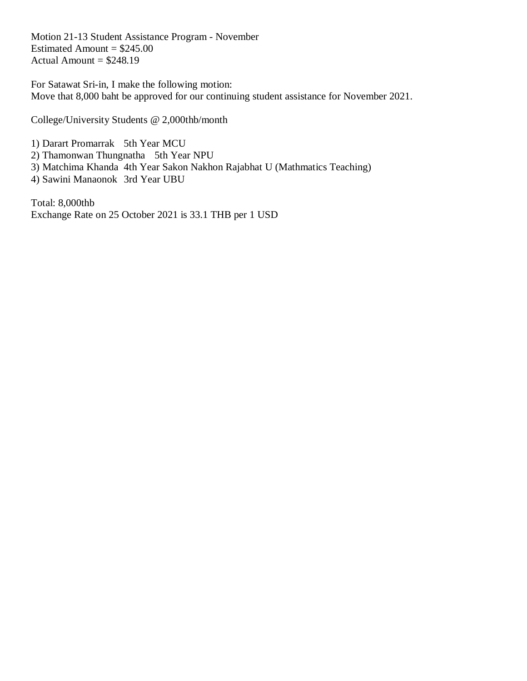Motion 21-13 Student Assistance Program - November Estimated Amount =  $$245.00$ Actual Amount  $= $248.19$ 

For Satawat Sri-in, I make the following motion: Move that 8,000 baht be approved for our continuing student assistance for November 2021.

College/University Students @ 2,000thb/month

1) Darart Promarrak 5th Year MCU

2) Thamonwan Thungnatha 5th Year NPU

3) Matchima Khanda 4th Year Sakon Nakhon Rajabhat U (Mathmatics Teaching)

4) Sawini Manaonok 3rd Year UBU

Total: 8,000thb Exchange Rate on 25 October 2021 is 33.1 THB per 1 USD